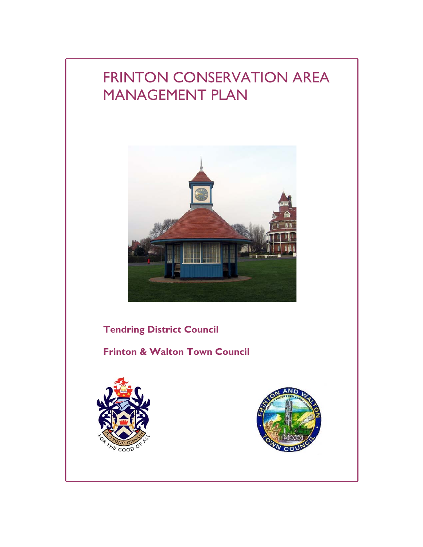# FRINTON CONSERVATION AREA MANAGEMENT PLAN



**Tendring District Council** 

**Frinton & Walton Town Council** 



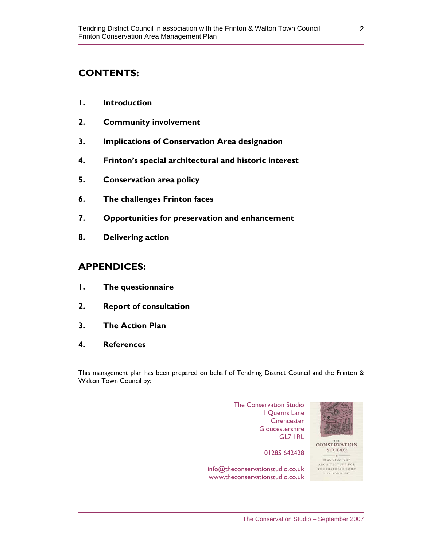## **CONTENTS:**

- **1. Introduction**
- **2. Community involvement**
- **3. Implications of Conservation Area designation**
- **4. Frinton's special architectural and historic interest**
- **5. Conservation area policy**
- **6. The challenges Frinton faces**
- **7. Opportunities for preservation and enhancement**
- **8. Delivering action**

## **APPENDICES:**

- **1. The questionnaire**
- **2. Report of consultation**
- **3. The Action Plan**
- **4. References**

This management plan has been prepared on behalf of Tendring District Council and the Frinton & Walton Town Council by:

> The Conservation Studio 1 Querns Lane **Cirencester Gloucestershire** GL7 1RL

info@theconservationstudio.co.uk www.theconservationstudio.co.uk

01285 642428



**CONSERVATION STUDIO** 

PLANNING AND ARCHITECTURE FOR<br>THE HISTORIC BUILT ENVIRONMENT

2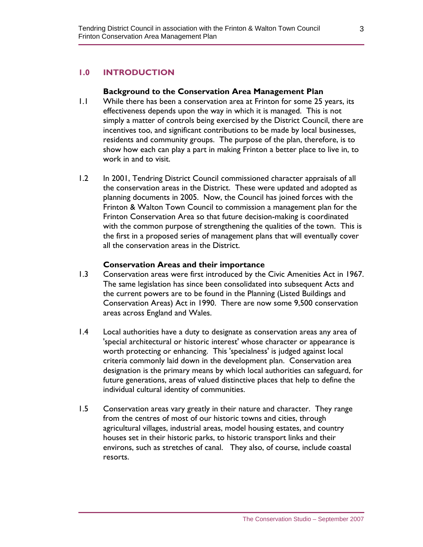## **1.0 INTRODUCTION**

#### **Background to the Conservation Area Management Plan**

- 1.1 While there has been a conservation area at Frinton for some 25 years, its effectiveness depends upon the way in which it is managed. This is not simply a matter of controls being exercised by the District Council, there are incentives too, and significant contributions to be made by local businesses, residents and community groups. The purpose of the plan, therefore, is to show how each can play a part in making Frinton a better place to live in, to work in and to visit.
- 1.2 In 2001, Tendring District Council commissioned character appraisals of all the conservation areas in the District. These were updated and adopted as planning documents in 2005. Now, the Council has joined forces with the Frinton & Walton Town Council to commission a management plan for the Frinton Conservation Area so that future decision-making is coordinated with the common purpose of strengthening the qualities of the town. This is the first in a proposed series of management plans that will eventually cover all the conservation areas in the District.

#### **Conservation Areas and their importance**

- 1.3 Conservation areas were first introduced by the Civic Amenities Act in 1967. The same legislation has since been consolidated into subsequent Acts and the current powers are to be found in the Planning (Listed Buildings and Conservation Areas) Act in 1990. There are now some 9,500 conservation areas across England and Wales.
- 1.4 Local authorities have a duty to designate as conservation areas any area of 'special architectural or historic interest' whose character or appearance is worth protecting or enhancing. This 'specialness' is judged against local criteria commonly laid down in the development plan. Conservation area designation is the primary means by which local authorities can safeguard, for future generations, areas of valued distinctive places that help to define the individual cultural identity of communities.
- 1.5 Conservation areas vary greatly in their nature and character. They range from the centres of most of our historic towns and cities, through agricultural villages, industrial areas, model housing estates, and country houses set in their historic parks, to historic transport links and their environs, such as stretches of canal. They also, of course, include coastal resorts.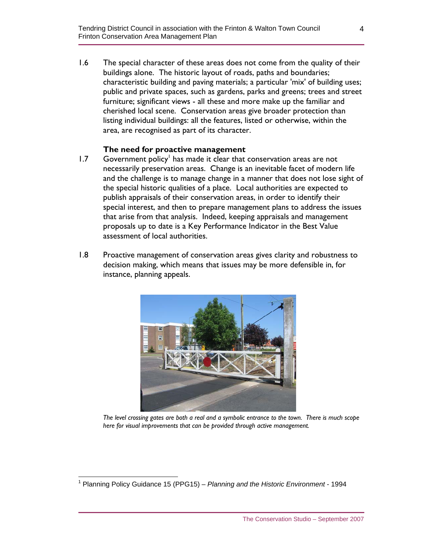1.6 The special character of these areas does not come from the quality of their buildings alone. The historic layout of roads, paths and boundaries; characteristic building and paving materials; a particular 'mix' of building uses; public and private spaces, such as gardens, parks and greens; trees and street furniture; significant views - all these and more make up the familiar and cherished local scene. Conservation areas give broader protection than listing individual buildings: all the features, listed or otherwise, within the area, are recognised as part of its character.

#### **The need for proactive management**

- $1.7$  Government policy<sup>1</sup> has made it clear that conservation areas are not necessarily preservation areas. Change is an inevitable facet of modern life and the challenge is to manage change in a manner that does not lose sight of the special historic qualities of a place. Local authorities are expected to publish appraisals of their conservation areas, in order to identify their special interest, and then to prepare management plans to address the issues that arise from that analysis. Indeed, keeping appraisals and management proposals up to date is a Key Performance Indicator in the Best Value assessment of local authorities.
- 1.8 Proactive management of conservation areas gives clarity and robustness to decision making, which means that issues may be more defensible in, for instance, planning appeals.



*The level crossing gates are both a real and a symbolic entrance to the town. There is much scope here for visual improvements that can be provided through active management.* 

 1 Planning Policy Guidance 15 (PPG15) – *Planning and the Historic Environment* - 1994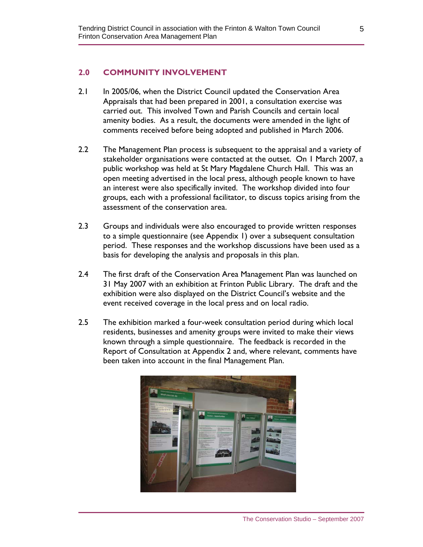#### **2.0 COMMUNITY INVOLVEMENT**

- 2.1 In 2005/06, when the District Council updated the Conservation Area Appraisals that had been prepared in 2001, a consultation exercise was carried out. This involved Town and Parish Councils and certain local amenity bodies. As a result, the documents were amended in the light of comments received before being adopted and published in March 2006.
- 2.2 The Management Plan process is subsequent to the appraisal and a variety of stakeholder organisations were contacted at the outset. On 1 March 2007, a public workshop was held at St Mary Magdalene Church Hall. This was an open meeting advertised in the local press, although people known to have an interest were also specifically invited. The workshop divided into four groups, each with a professional facilitator, to discuss topics arising from the assessment of the conservation area.
- 2.3 Groups and individuals were also encouraged to provide written responses to a simple questionnaire (see Appendix 1) over a subsequent consultation period. These responses and the workshop discussions have been used as a basis for developing the analysis and proposals in this plan.
- 2.4 The first draft of the Conservation Area Management Plan was launched on 31 May 2007 with an exhibition at Frinton Public Library. The draft and the exhibition were also displayed on the District Council's website and the event received coverage in the local press and on local radio.
- 2.5 The exhibition marked a four-week consultation period during which local residents, businesses and amenity groups were invited to make their views known through a simple questionnaire. The feedback is recorded in the Report of Consultation at Appendix 2 and, where relevant, comments have been taken into account in the final Management Plan.

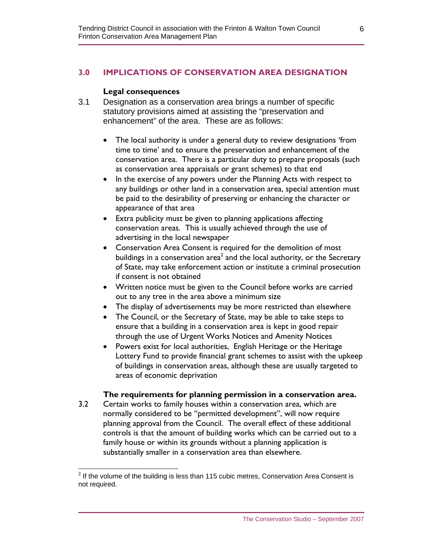## **3.0 IMPLICATIONS OF CONSERVATION AREA DESIGNATION**

#### **Legal consequences**

- 3.1 Designation as a conservation area brings a number of specific statutory provisions aimed at assisting the "preservation and enhancement" of the area. These are as follows:
	- The local authority is under a general duty to review designations 'from time to time' and to ensure the preservation and enhancement of the conservation area. There is a particular duty to prepare proposals (such as conservation area appraisals or grant schemes) to that end
	- In the exercise of any powers under the Planning Acts with respect to any buildings or other land in a conservation area, special attention must be paid to the desirability of preserving or enhancing the character or appearance of that area
	- Extra publicity must be given to planning applications affecting conservation areas. This is usually achieved through the use of advertising in the local newspaper
	- Conservation Area Consent is required for the demolition of most buildings in a conservation area $^2$  and the local authority, or the Secretary of State, may take enforcement action or institute a criminal prosecution if consent is not obtained
	- Written notice must be given to the Council before works are carried out to any tree in the area above a minimum size
	- The display of advertisements may be more restricted than elsewhere
	- The Council, or the Secretary of State, may be able to take steps to ensure that a building in a conservation area is kept in good repair through the use of Urgent Works Notices and Amenity Notices
	- Powers exist for local authorities, English Heritage or the Heritage Lottery Fund to provide financial grant schemes to assist with the upkeep of buildings in conservation areas, although these are usually targeted to areas of economic deprivation

#### **The requirements for planning permission in a conservation area.**

3.2 Certain works to family houses within a conservation area, which are normally considered to be "permitted development", will now require planning approval from the Council. The overall effect of these additional controls is that the amount of building works which can be carried out to a family house or within its grounds without a planning application is substantially smaller in a conservation area than elsewhere.

 $2$  If the volume of the building is less than 115 cubic metres, Conservation Area Consent is not required.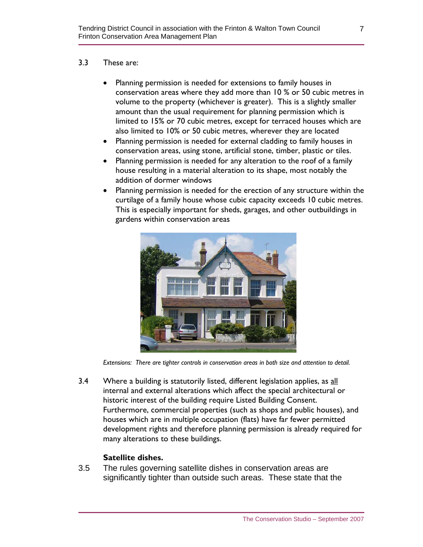#### 3.3 These are:

- Planning permission is needed for extensions to family houses in conservation areas where they add more than 10 % or 50 cubic metres in volume to the property (whichever is greater). This is a slightly smaller amount than the usual requirement for planning permission which is limited to 15% or 70 cubic metres, except for terraced houses which are also limited to 10% or 50 cubic metres, wherever they are located
- Planning permission is needed for external cladding to family houses in conservation areas, using stone, artificial stone, timber, plastic or tiles.
- Planning permission is needed for any alteration to the roof of a family house resulting in a material alteration to its shape, most notably the addition of dormer windows
- Planning permission is needed for the erection of any structure within the curtilage of a family house whose cubic capacity exceeds 10 cubic metres. This is especially important for sheds, garages, and other outbuildings in gardens within conservation areas



*Extensions: There are tighter controls in conservation areas in both size and attention to detail.* 

3.4 Where a building is statutorily listed, different legislation applies, as all internal and external alterations which affect the special architectural or historic interest of the building require Listed Building Consent. Furthermore, commercial properties (such as shops and public houses), and houses which are in multiple occupation (flats) have far fewer permitted development rights and therefore planning permission is already required for many alterations to these buildings.

## **Satellite dishes.**

3.5 The rules governing satellite dishes in conservation areas are significantly tighter than outside such areas. These state that the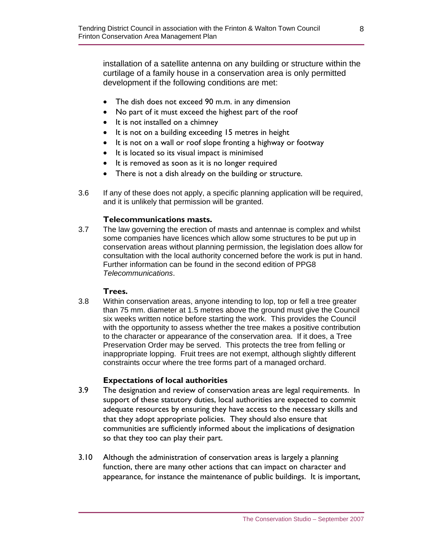installation of a satellite antenna on any building or structure within the curtilage of a family house in a conservation area is only permitted development if the following conditions are met:

- The dish does not exceed 90 m.m. in any dimension
- No part of it must exceed the highest part of the roof
- It is not installed on a chimney
- It is not on a building exceeding 15 metres in height
- It is not on a wall or roof slope fronting a highway or footway
- It is located so its visual impact is minimised
- It is removed as soon as it is no longer required
- There is not a dish already on the building or structure.
- 3.6 If any of these does not apply, a specific planning application will be required, and it is unlikely that permission will be granted.

#### **Telecommunications masts.**

3.7 The law governing the erection of masts and antennae is complex and whilst some companies have licences which allow some structures to be put up in conservation areas without planning permission, the legislation does allow for consultation with the local authority concerned before the work is put in hand. Further information can be found in the second edition of PPG8 *Telecommunications*.

#### **Trees.**

3.8 Within conservation areas, anyone intending to lop, top or fell a tree greater than 75 mm. diameter at 1.5 metres above the ground must give the Council six weeks written notice before starting the work. This provides the Council with the opportunity to assess whether the tree makes a positive contribution to the character or appearance of the conservation area. If it does, a Tree Preservation Order may be served. This protects the tree from felling or inappropriate lopping. Fruit trees are not exempt, although slightly different constraints occur where the tree forms part of a managed orchard.

#### **Expectations of local authorities**

- 3.9 The designation and review of conservation areas are legal requirements. In support of these statutory duties, local authorities are expected to commit adequate resources by ensuring they have access to the necessary skills and that they adopt appropriate policies. They should also ensure that communities are sufficiently informed about the implications of designation so that they too can play their part.
- 3.10 Although the administration of conservation areas is largely a planning function, there are many other actions that can impact on character and appearance, for instance the maintenance of public buildings. It is important,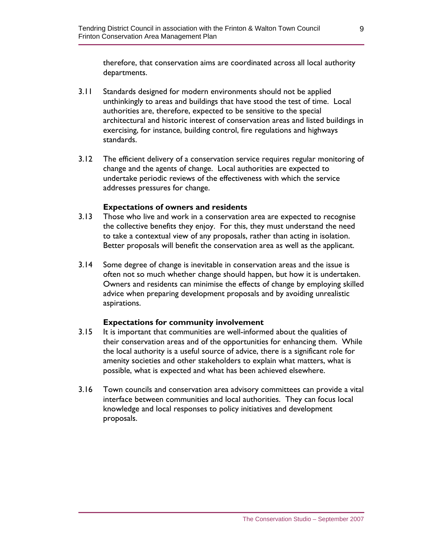therefore, that conservation aims are coordinated across all local authority departments.

- 3.11 Standards designed for modern environments should not be applied unthinkingly to areas and buildings that have stood the test of time. Local authorities are, therefore, expected to be sensitive to the special architectural and historic interest of conservation areas and listed buildings in exercising, for instance, building control, fire regulations and highways standards.
- 3.12 The efficient delivery of a conservation service requires regular monitoring of change and the agents of change. Local authorities are expected to undertake periodic reviews of the effectiveness with which the service addresses pressures for change.

#### **Expectations of owners and residents**

- 3.13 Those who live and work in a conservation area are expected to recognise the collective benefits they enjoy. For this, they must understand the need to take a contextual view of any proposals, rather than acting in isolation. Better proposals will benefit the conservation area as well as the applicant.
- 3.14 Some degree of change is inevitable in conservation areas and the issue is often not so much whether change should happen, but how it is undertaken. Owners and residents can minimise the effects of change by employing skilled advice when preparing development proposals and by avoiding unrealistic aspirations.

#### **Expectations for community involvement**

- 3.15 It is important that communities are well-informed about the qualities of their conservation areas and of the opportunities for enhancing them. While the local authority is a useful source of advice, there is a significant role for amenity societies and other stakeholders to explain what matters, what is possible, what is expected and what has been achieved elsewhere.
- 3.16 Town councils and conservation area advisory committees can provide a vital interface between communities and local authorities. They can focus local knowledge and local responses to policy initiatives and development proposals.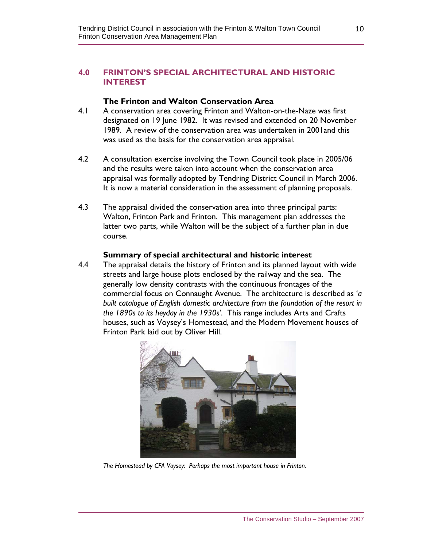#### **4.0 FRINTON'S SPECIAL ARCHITECTURAL AND HISTORIC INTEREST**

#### **The Frinton and Walton Conservation Area**

- 4.1 A conservation area covering Frinton and Walton-on-the-Naze was first designated on 19 June 1982. It was revised and extended on 20 November 1989. A review of the conservation area was undertaken in 2001and this was used as the basis for the conservation area appraisal.
- 4.2 A consultation exercise involving the Town Council took place in 2005/06 and the results were taken into account when the conservation area appraisal was formally adopted by Tendring District Council in March 2006. It is now a material consideration in the assessment of planning proposals.
- 4.3 The appraisal divided the conservation area into three principal parts: Walton, Frinton Park and Frinton. This management plan addresses the latter two parts, while Walton will be the subject of a further plan in due course.

#### **Summary of special architectural and historic interest**

4.4 The appraisal details the history of Frinton and its planned layout with wide streets and large house plots enclosed by the railway and the sea. The generally low density contrasts with the continuous frontages of the commercial focus on Connaught Avenue. The architecture is described as '*a built catalogue of English domestic architecture from the foundation of the resort in the 1890s to its heyday in the 1930s'*. This range includes Arts and Crafts houses, such as Voysey's Homestead, and the Modern Movement houses of Frinton Park laid out by Oliver Hill.



*The Homestead by CFA Voysey: Perhaps the most important house in Frinton.*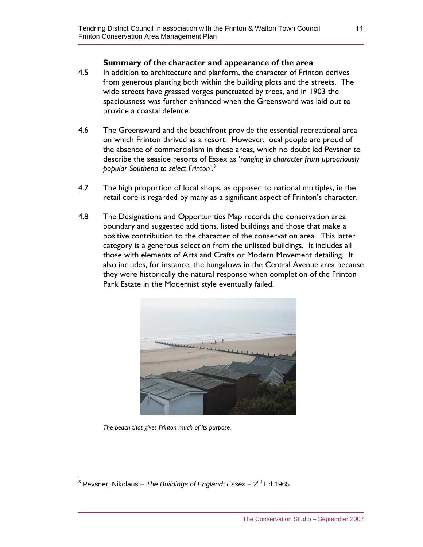#### **Summary of the character and appearance of the area**

- 4.5 In addition to architecture and planform, the character of Frinton derives from generous planting both within the building plots and the streets. The wide streets have grassed verges punctuated by trees, and in 1903 the spaciousness was further enhanced when the Greensward was laid out to provide a coastal defence.
- 4.6 The Greensward and the beachfront provide the essential recreational area on which Frinton thrived as a resort. However, local people are proud of the absence of commercialism in these areas, which no doubt led Pevsner to describe the seaside resorts of Essex as '*ranging in character from uproariously popular Southend to select Frinton'*. 3
- 4.7 The high proportion of local shops, as opposed to national multiples, in the retail core is regarded by many as a significant aspect of Frinton's character.
- 4.8 The Designations and Opportunities Map records the conservation area boundary and suggested additions, listed buildings and those that make a positive contribution to the character of the conservation area. This latter category is a generous selection from the unlisted buildings. It includes all those with elements of Arts and Crafts or Modern Movement detailing. It also includes, for instance, the bungalows in the Central Avenue area because they were historically the natural response when completion of the Frinton Park Estate in the Modernist style eventually failed.



 *The beach that gives Frinton much of its purpose.*

 3 Pevsner, Nikolaus – *The Buildings of England: Essex* – 2nd Ed.1965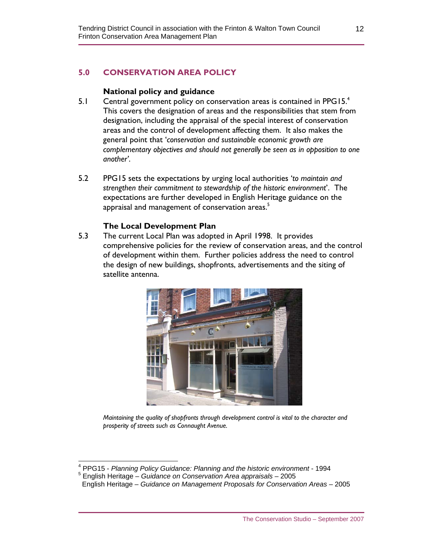## **5.0 CONSERVATION AREA POLICY**

#### **National policy and guidance**

- 5.1 Central government policy on conservation areas is contained in PPG15. $4$ This covers the designation of areas and the responsibilities that stem from designation, including the appraisal of the special interest of conservation areas and the control of development affecting them. It also makes the general point that '*conservation and sustainable economic growth are complementary objectives and should not generally be seen as in opposition to one another'*.
- 5.2 PPG15 sets the expectations by urging local authorities '*to maintain and strengthen their commitment to stewardship of the historic environment*'. The expectations are further developed in English Heritage guidance on the appraisal and management of conservation areas.<sup>5</sup>

#### **The Local Development Plan**

5.3 The current Local Plan was adopted in April 1998. It provides comprehensive policies for the review of conservation areas, and the control of development within them. Further policies address the need to control the design of new buildings, shopfronts, advertisements and the siting of satellite antenna.



*Maintaining the quality of shopfronts through development control is vital to the character and prosperity of streets such as Connaught Avenue.* 

 $\overline{a}$ 

<sup>4</sup> PPG15 - *Planning Policy Guidance: Planning and the historic environment* - 1994

<sup>5</sup> English Heritage – *Guidance on Conservation Area appraisals* – 2005

English Heritage – *Guidance on Management Proposals for Conservation Areas* – 2005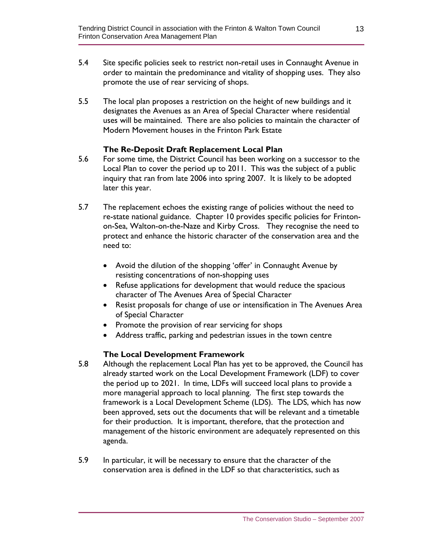- 5.4 Site specific policies seek to restrict non-retail uses in Connaught Avenue in order to maintain the predominance and vitality of shopping uses. They also promote the use of rear servicing of shops.
- 5.5 The local plan proposes a restriction on the height of new buildings and it designates the Avenues as an Area of Special Character where residential uses will be maintained. There are also policies to maintain the character of Modern Movement houses in the Frinton Park Estate

#### **The Re-Deposit Draft Replacement Local Plan**

- 5.6 For some time, the District Council has been working on a successor to the Local Plan to cover the period up to 2011. This was the subject of a public inquiry that ran from late 2006 into spring 2007. It is likely to be adopted later this year.
- 5.7 The replacement echoes the existing range of policies without the need to re-state national guidance. Chapter 10 provides specific policies for Frintonon-Sea, Walton-on-the-Naze and Kirby Cross. They recognise the need to protect and enhance the historic character of the conservation area and the need to:
	- Avoid the dilution of the shopping 'offer' in Connaught Avenue by resisting concentrations of non-shopping uses
	- Refuse applications for development that would reduce the spacious character of The Avenues Area of Special Character
	- Resist proposals for change of use or intensification in The Avenues Area of Special Character
	- Promote the provision of rear servicing for shops
	- Address traffic, parking and pedestrian issues in the town centre

#### **The Local Development Framework**

- 5.8 Although the replacement Local Plan has yet to be approved, the Council has already started work on the Local Development Framework (LDF) to cover the period up to 2021. In time, LDFs will succeed local plans to provide a more managerial approach to local planning. The first step towards the framework is a Local Development Scheme (LDS). The LDS, which has now been approved, sets out the documents that will be relevant and a timetable for their production. It is important, therefore, that the protection and management of the historic environment are adequately represented on this agenda.
- 5.9 In particular, it will be necessary to ensure that the character of the conservation area is defined in the LDF so that characteristics, such as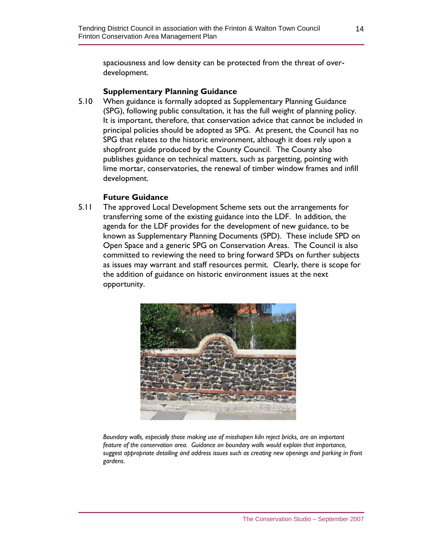spaciousness and low density can be protected from the threat of overdevelopment.

#### **Supplementary Planning Guidance**

5.10 When guidance is formally adopted as Supplementary Planning Guidance (SPG), following public consultation, it has the full weight of planning policy. It is important, therefore, that conservation advice that cannot be included in principal policies should be adopted as SPG. At present, the Council has no SPG that relates to the historic environment, although it does rely upon a shopfront guide produced by the County Council. The County also publishes guidance on technical matters, such as pargetting, pointing with lime mortar, conservatories, the renewal of timber window frames and infill development.

#### **Future Guidance**

5.11 The approved Local Development Scheme sets out the arrangements for transferring some of the existing guidance into the LDF. In addition, the agenda for the LDF provides for the development of new guidance, to be known as Supplementary Planning Documents (SPD). These include SPD on Open Space and a generic SPG on Conservation Areas. The Council is also committed to reviewing the need to bring forward SPDs on further subjects as issues may warrant and staff resources permit. Clearly, there is scope for the addition of guidance on historic environment issues at the next opportunity.



*Boundary walls, especially those making use of misshapen kiln reject bricks, are an important feature of the conservation area. Guidance on boundary walls would explain that importance, suggest appropriate detailing and address issues such as creating new openings and parking in front gardens.*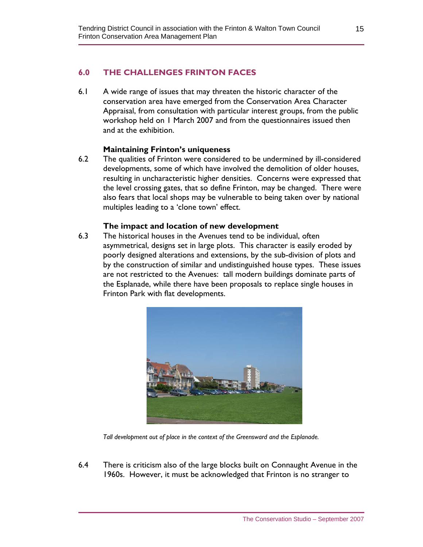#### **6.0 THE CHALLENGES FRINTON FACES**

6.1 A wide range of issues that may threaten the historic character of the conservation area have emerged from the Conservation Area Character Appraisal, from consultation with particular interest groups, from the public workshop held on 1 March 2007 and from the questionnaires issued then and at the exhibition.

#### **Maintaining Frinton's uniqueness**

6.2 The qualities of Frinton were considered to be undermined by ill-considered developments, some of which have involved the demolition of older houses, resulting in uncharacteristic higher densities. Concerns were expressed that the level crossing gates, that so define Frinton, may be changed. There were also fears that local shops may be vulnerable to being taken over by national multiples leading to a 'clone town' effect.

#### **The impact and location of new development**

6.3 The historical houses in the Avenues tend to be individual, often asymmetrical, designs set in large plots. This character is easily eroded by poorly designed alterations and extensions, by the sub-division of plots and by the construction of similar and undistinguished house types. These issues are not restricted to the Avenues: tall modern buildings dominate parts of the Esplanade, while there have been proposals to replace single houses in Frinton Park with flat developments.



 *Tall development out of place in the context of the Greensward and the Esplanade.* 

6.4 There is criticism also of the large blocks built on Connaught Avenue in the 1960s. However, it must be acknowledged that Frinton is no stranger to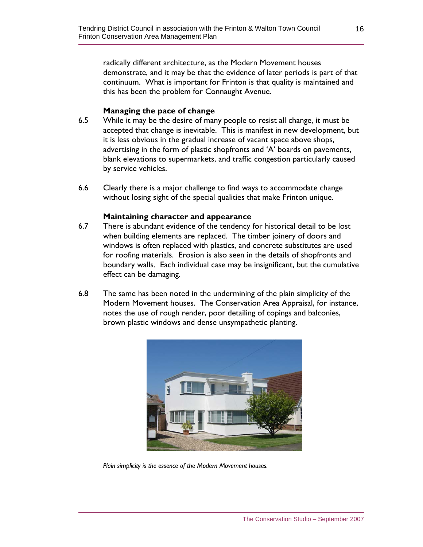radically different architecture, as the Modern Movement houses demonstrate, and it may be that the evidence of later periods is part of that continuum. What is important for Frinton is that quality is maintained and this has been the problem for Connaught Avenue.

#### **Managing the pace of change**

- 6.5 While it may be the desire of many people to resist all change, it must be accepted that change is inevitable. This is manifest in new development, but it is less obvious in the gradual increase of vacant space above shops, advertising in the form of plastic shopfronts and 'A' boards on pavements, blank elevations to supermarkets, and traffic congestion particularly caused by service vehicles.
- 6.6 Clearly there is a major challenge to find ways to accommodate change without losing sight of the special qualities that make Frinton unique.

#### **Maintaining character and appearance**

- 6.7 There is abundant evidence of the tendency for historical detail to be lost when building elements are replaced. The timber joinery of doors and windows is often replaced with plastics, and concrete substitutes are used for roofing materials. Erosion is also seen in the details of shopfronts and boundary walls. Each individual case may be insignificant, but the cumulative effect can be damaging.
- 6.8 The same has been noted in the undermining of the plain simplicity of the Modern Movement houses. The Conservation Area Appraisal, for instance, notes the use of rough render, poor detailing of copings and balconies, brown plastic windows and dense unsympathetic planting.



*Plain simplicity is the essence of the Modern Movement houses.*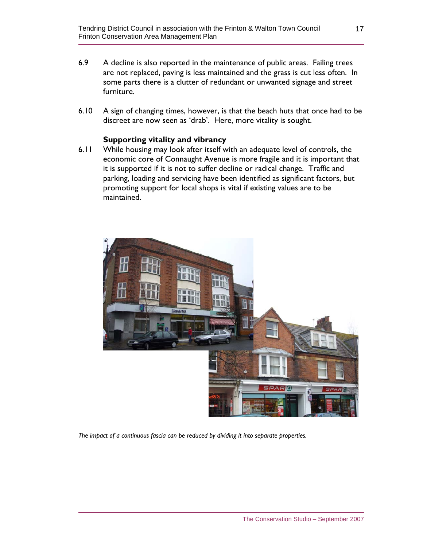- 6.9 A decline is also reported in the maintenance of public areas. Failing trees are not replaced, paving is less maintained and the grass is cut less often. In some parts there is a clutter of redundant or unwanted signage and street furniture.
- 6.10 A sign of changing times, however, is that the beach huts that once had to be discreet are now seen as 'drab'. Here, more vitality is sought.

#### **Supporting vitality and vibrancy**

6.11 While housing may look after itself with an adequate level of controls, the economic core of Connaught Avenue is more fragile and it is important that it is supported if it is not to suffer decline or radical change. Traffic and parking, loading and servicing have been identified as significant factors, but promoting support for local shops is vital if existing values are to be maintained.



*The impact of a continuous fascia can be reduced by dividing it into separate properties.*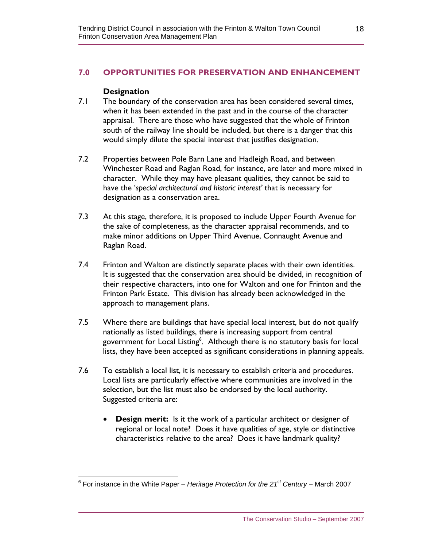## **7.0 OPPORTUNITIES FOR PRESERVATION AND ENHANCEMENT**

#### **Designation**

- 7.1 The boundary of the conservation area has been considered several times, when it has been extended in the past and in the course of the character appraisal. There are those who have suggested that the whole of Frinton south of the railway line should be included, but there is a danger that this would simply dilute the special interest that justifies designation.
- 7.2 Properties between Pole Barn Lane and Hadleigh Road, and between Winchester Road and Raglan Road, for instance, are later and more mixed in character. While they may have pleasant qualities, they cannot be said to have the '*special architectural and historic interest'* that is necessary for designation as a conservation area.
- 7.3 At this stage, therefore, it is proposed to include Upper Fourth Avenue for the sake of completeness, as the character appraisal recommends, and to make minor additions on Upper Third Avenue, Connaught Avenue and Raglan Road.
- 7.4 Frinton and Walton are distinctly separate places with their own identities. It is suggested that the conservation area should be divided, in recognition of their respective characters, into one for Walton and one for Frinton and the Frinton Park Estate. This division has already been acknowledged in the approach to management plans.
- 7.5 Where there are buildings that have special local interest, but do not qualify nationally as listed buildings, there is increasing support from central government for Local Listing<sup>6</sup>. Although there is no statutory basis for local lists, they have been accepted as significant considerations in planning appeals.
- 7.6 To establish a local list, it is necessary to establish criteria and procedures. Local lists are particularly effective where communities are involved in the selection, but the list must also be endorsed by the local authority. Suggested criteria are:
	- **Design merit:** Is it the work of a particular architect or designer of regional or local note? Does it have qualities of age, style or distinctive characteristics relative to the area? Does it have landmark quality?

 6 For instance in the White Paper – *Heritage Protection for the 21st Century* – March 2007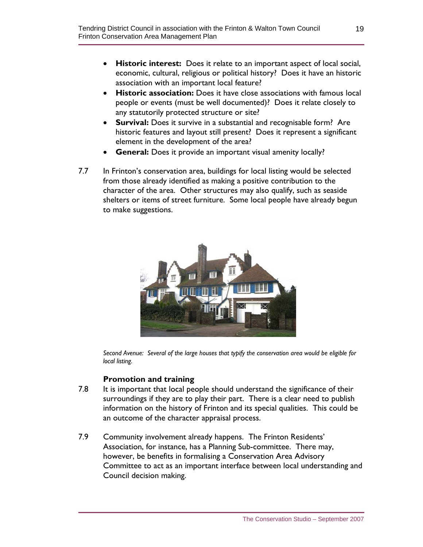- **Historic interest:** Does it relate to an important aspect of local social, economic, cultural, religious or political history? Does it have an historic association with an important local feature?
- **Historic association:** Does it have close associations with famous local people or events (must be well documented)? Does it relate closely to any statutorily protected structure or site?
- **Survival:** Does it survive in a substantial and recognisable form? Are historic features and layout still present? Does it represent a significant element in the development of the area?
- **General:** Does it provide an important visual amenity locally?
- 7.7 In Frinton's conservation area, buildings for local listing would be selected from those already identified as making a positive contribution to the character of the area. Other structures may also qualify, such as seaside shelters or items of street furniture. Some local people have already begun to make suggestions.



*Second Avenue: Several of the large houses that typify the conservation area would be eligible for local listing.* 

## **Promotion and training**

- 7.8 It is important that local people should understand the significance of their surroundings if they are to play their part. There is a clear need to publish information on the history of Frinton and its special qualities. This could be an outcome of the character appraisal process.
- 7.9 Community involvement already happens. The Frinton Residents' Association, for instance, has a Planning Sub-committee. There may, however, be benefits in formalising a Conservation Area Advisory Committee to act as an important interface between local understanding and Council decision making.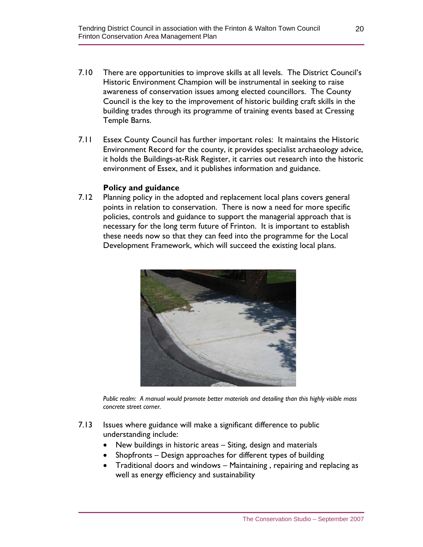- 7.10 There are opportunities to improve skills at all levels. The District Council's Historic Environment Champion will be instrumental in seeking to raise awareness of conservation issues among elected councillors. The County Council is the key to the improvement of historic building craft skills in the building trades through its programme of training events based at Cressing Temple Barns.
- 7.11 Essex County Council has further important roles: It maintains the Historic Environment Record for the county, it provides specialist archaeology advice, it holds the Buildings-at-Risk Register, it carries out research into the historic environment of Essex, and it publishes information and guidance.

#### **Policy and guidance**

7.12 Planning policy in the adopted and replacement local plans covers general points in relation to conservation. There is now a need for more specific policies, controls and guidance to support the managerial approach that is necessary for the long term future of Frinton. It is important to establish these needs now so that they can feed into the programme for the Local Development Framework, which will succeed the existing local plans.



*Public realm: A manual would promote better materials and detailing than this highly visible mass concrete street corner.* 

- 7.13 Issues where guidance will make a significant difference to public understanding include:
	- New buildings in historic areas Siting, design and materials
	- Shopfronts Design approaches for different types of building
	- Traditional doors and windows Maintaining , repairing and replacing as well as energy efficiency and sustainability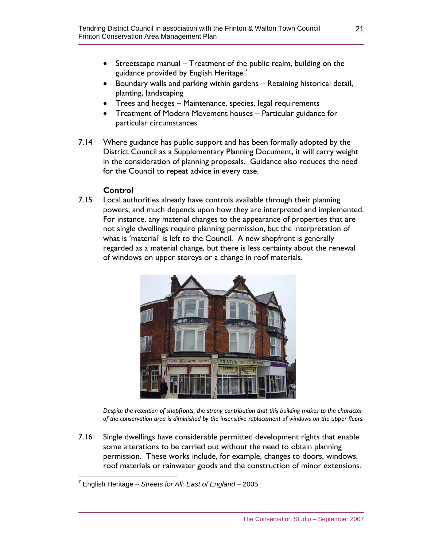- Streetscape manual Treatment of the public realm, building on the guidance provided by English Heritage. $^7$
- Boundary walls and parking within gardens Retaining historical detail, planting, landscaping
- Trees and hedges Maintenance, species, legal requirements
- Treatment of Modern Movement houses Particular guidance for particular circumstances
- 7.14 Where guidance has public support and has been formally adopted by the District Council as a Supplementary Planning Document, it will carry weight in the consideration of planning proposals. Guidance also reduces the need for the Council to repeat advice in every case.

## **Control**

7.15 Local authorities already have controls available through their planning powers, and much depends upon how they are interpreted and implemented. For instance, any material changes to the appearance of properties that are not single dwellings require planning permission, but the interpretation of what is 'material' is left to the Council. A new shopfront is generally regarded as a material change, but there is less certainty about the renewal of windows on upper storeys or a change in roof materials.



 *Despite the retention of shopfronts, the strong contribution that this building makes to the character of the conservation area is diminished by the insensitive replacement of windows on the upper floors.* 

7.16 Single dwellings have considerable permitted development rights that enable some alterations to be carried out without the need to obtain planning permission. These works include, for example, changes to doors, windows, roof materials or rainwater goods and the construction of minor extensions.

 7 English Heritage – *Streets for All: East of England* – 2005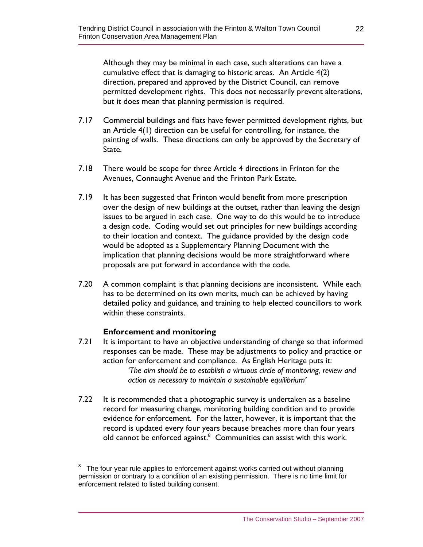Although they may be minimal in each case, such alterations can have a cumulative effect that is damaging to historic areas. An Article 4(2) direction, prepared and approved by the District Council, can remove permitted development rights. This does not necessarily prevent alterations, but it does mean that planning permission is required.

- 7.17 Commercial buildings and flats have fewer permitted development rights, but an Article 4(1) direction can be useful for controlling, for instance, the painting of walls. These directions can only be approved by the Secretary of State.
- 7.18 There would be scope for three Article 4 directions in Frinton for the Avenues, Connaught Avenue and the Frinton Park Estate.
- 7.19 It has been suggested that Frinton would benefit from more prescription over the design of new buildings at the outset, rather than leaving the design issues to be argued in each case. One way to do this would be to introduce a design code. Coding would set out principles for new buildings according to their location and context. The guidance provided by the design code would be adopted as a Supplementary Planning Document with the implication that planning decisions would be more straightforward where proposals are put forward in accordance with the code.
- 7.20 A common complaint is that planning decisions are inconsistent. While each has to be determined on its own merits, much can be achieved by having detailed policy and guidance, and training to help elected councillors to work within these constraints.

#### **Enforcement and monitoring**

- 7.21 It is important to have an objective understanding of change so that informed responses can be made. These may be adjustments to policy and practice or action for enforcement and compliance. As English Heritage puts it: *'The aim should be to establish a virtuous circle of monitoring, review and action as necessary to maintain a sustainable equilibrium'*
- 7.22 It is recommended that a photographic survey is undertaken as a baseline record for measuring change, monitoring building condition and to provide evidence for enforcement. For the latter, however, it is important that the record is updated every four years because breaches more than four years old cannot be enforced against.<sup>8</sup> Communities can assist with this work.

 $\overline{a}$ 8 The four year rule applies to enforcement against works carried out without planning permission or contrary to a condition of an existing permission. There is no time limit for enforcement related to listed building consent.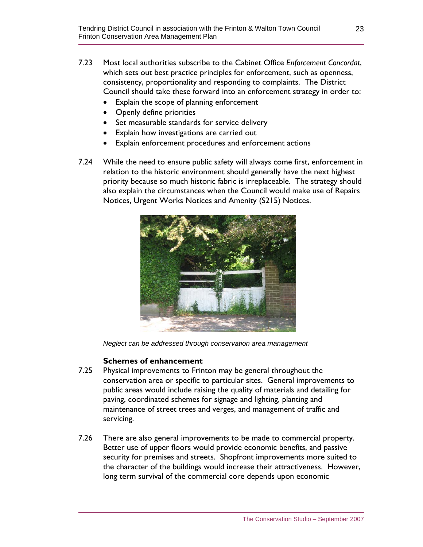- 7.23 Most local authorities subscribe to the Cabinet Office *Enforcement Concordat*, which sets out best practice principles for enforcement, such as openness, consistency, proportionality and responding to complaints. The District Council should take these forward into an enforcement strategy in order to:
	- Explain the scope of planning enforcement
	- Openly define priorities
	- Set measurable standards for service delivery
	- Explain how investigations are carried out
	- Explain enforcement procedures and enforcement actions
- 7.24 While the need to ensure public safety will always come first, enforcement in relation to the historic environment should generally have the next highest priority because so much historic fabric is irreplaceable. The strategy should also explain the circumstances when the Council would make use of Repairs Notices, Urgent Works Notices and Amenity (S215) Notices.



*Neglect can be addressed through conservation area management* 

## **Schemes of enhancement**

- 7.25 Physical improvements to Frinton may be general throughout the conservation area or specific to particular sites. General improvements to public areas would include raising the quality of materials and detailing for paving, coordinated schemes for signage and lighting, planting and maintenance of street trees and verges, and management of traffic and servicing.
- 7.26 There are also general improvements to be made to commercial property. Better use of upper floors would provide economic benefits, and passive security for premises and streets. Shopfront improvements more suited to the character of the buildings would increase their attractiveness. However, long term survival of the commercial core depends upon economic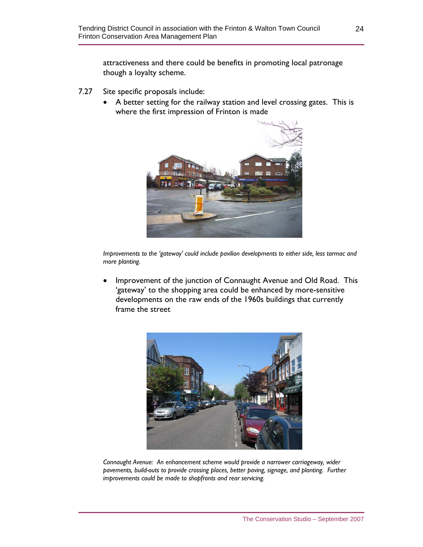attractiveness and there could be benefits in promoting local patronage though a loyalty scheme.

- 7.27 Site specific proposals include:
	- A better setting for the railway station and level crossing gates. This is where the first impression of Frinton is made



*Improvements to the 'gateway' could include pavilion developments to either side, less tarmac and more planting.* 

• Improvement of the junction of Connaught Avenue and Old Road. This 'gateway' to the shopping area could be enhanced by more-sensitive developments on the raw ends of the 1960s buildings that currently frame the street



*Connaught Avenue: An enhancement scheme would provide a narrower carriageway, wider pavements, build-outs to provide crossing places, better paving, signage, and planting. Further improvements could be made to shopfronts and rear servicing.*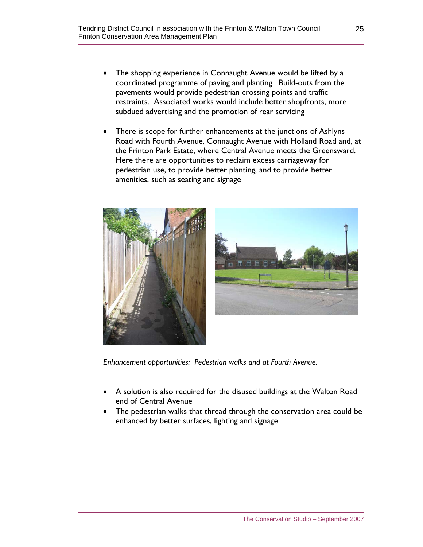- The shopping experience in Connaught Avenue would be lifted by a coordinated programme of paving and planting. Build-outs from the pavements would provide pedestrian crossing points and traffic restraints. Associated works would include better shopfronts, more subdued advertising and the promotion of rear servicing
- There is scope for further enhancements at the junctions of Ashlyns Road with Fourth Avenue, Connaught Avenue with Holland Road and, at the Frinton Park Estate, where Central Avenue meets the Greensward. Here there are opportunities to reclaim excess carriageway for pedestrian use, to provide better planting, and to provide better amenities, such as seating and signage





 *Enhancement opportunities: Pedestrian walks and at Fourth Avenue.* 

- A solution is also required for the disused buildings at the Walton Road end of Central Avenue
- The pedestrian walks that thread through the conservation area could be enhanced by better surfaces, lighting and signage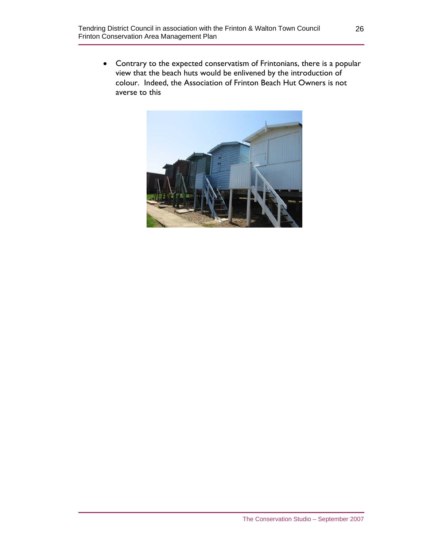• Contrary to the expected conservatism of Frintonians, there is a popular view that the beach huts would be enlivened by the introduction of colour. Indeed, the Association of Frinton Beach Hut Owners is not averse to this

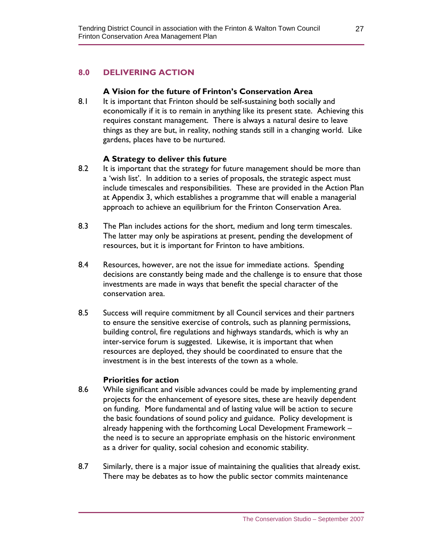## **8.0 DELIVERING ACTION**

#### **A Vision for the future of Frinton's Conservation Area**

8.1 It is important that Frinton should be self-sustaining both socially and economically if it is to remain in anything like its present state. Achieving this requires constant management. There is always a natural desire to leave things as they are but, in reality, nothing stands still in a changing world. Like gardens, places have to be nurtured.

#### **A Strategy to deliver this future**

- 8.2 It is important that the strategy for future management should be more than a 'wish list'. In addition to a series of proposals, the strategic aspect must include timescales and responsibilities. These are provided in the Action Plan at Appendix 3, which establishes a programme that will enable a managerial approach to achieve an equilibrium for the Frinton Conservation Area.
- 8.3 The Plan includes actions for the short, medium and long term timescales. The latter may only be aspirations at present, pending the development of resources, but it is important for Frinton to have ambitions.
- 8.4 Resources, however, are not the issue for immediate actions. Spending decisions are constantly being made and the challenge is to ensure that those investments are made in ways that benefit the special character of the conservation area.
- 8.5 Success will require commitment by all Council services and their partners to ensure the sensitive exercise of controls, such as planning permissions, building control, fire regulations and highways standards, which is why an inter-service forum is suggested. Likewise, it is important that when resources are deployed, they should be coordinated to ensure that the investment is in the best interests of the town as a whole.

#### **Priorities for action**

- 8.6 While significant and visible advances could be made by implementing grand projects for the enhancement of eyesore sites, these are heavily dependent on funding. More fundamental and of lasting value will be action to secure the basic foundations of sound policy and guidance. Policy development is already happening with the forthcoming Local Development Framework – the need is to secure an appropriate emphasis on the historic environment as a driver for quality, social cohesion and economic stability.
- 8.7 Similarly, there is a major issue of maintaining the qualities that already exist. There may be debates as to how the public sector commits maintenance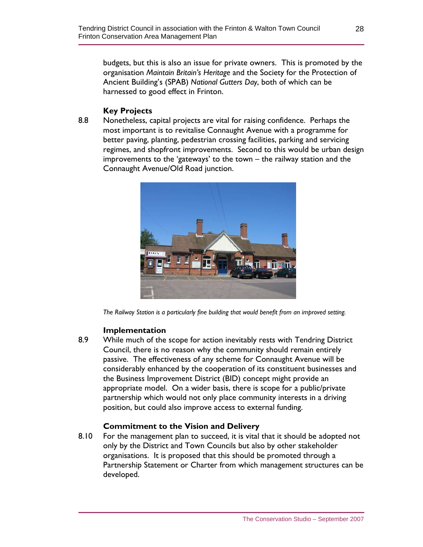budgets, but this is also an issue for private owners. This is promoted by the organisation *Maintain Britain's Heritage* and the Society for the Protection of Ancient Building's (SPAB) *National Gutters Day*, both of which can be harnessed to good effect in Frinton.

## **Key Projects**

8.8 Nonetheless, capital projects are vital for raising confidence. Perhaps the most important is to revitalise Connaught Avenue with a programme for better paving, planting, pedestrian crossing facilities, parking and servicing regimes, and shopfront improvements. Second to this would be urban design improvements to the 'gateways' to the town – the railway station and the Connaught Avenue/Old Road junction.



*The Railway Station is a particularly fine building that would benefit from an improved setting.* 

#### **Implementation**

8.9 While much of the scope for action inevitably rests with Tendring District Council, there is no reason why the community should remain entirely passive. The effectiveness of any scheme for Connaught Avenue will be considerably enhanced by the cooperation of its constituent businesses and the Business Improvement District (BID) concept might provide an appropriate model. On a wider basis, there is scope for a public/private partnership which would not only place community interests in a driving position, but could also improve access to external funding.

#### **Commitment to the Vision and Delivery**

8.10 For the management plan to succeed, it is vital that it should be adopted not only by the District and Town Councils but also by other stakeholder organisations. It is proposed that this should be promoted through a Partnership Statement or Charter from which management structures can be developed.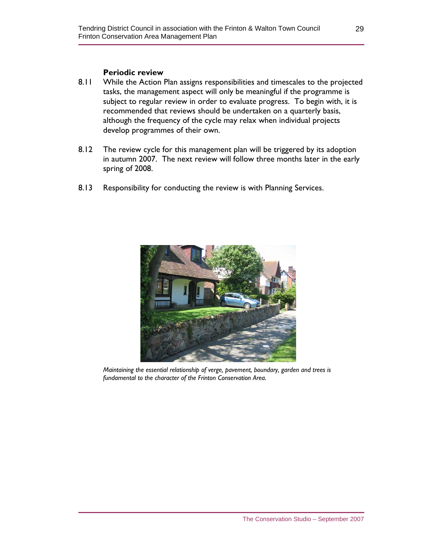#### **Periodic review**

- 8.11 While the Action Plan assigns responsibilities and timescales to the projected tasks, the management aspect will only be meaningful if the programme is subject to regular review in order to evaluate progress. To begin with, it is recommended that reviews should be undertaken on a quarterly basis, although the frequency of the cycle may relax when individual projects develop programmes of their own.
- 8.12 The review cycle for this management plan will be triggered by its adoption in autumn 2007. The next review will follow three months later in the early spring of 2008.
- 8.13 Responsibility for conducting the review is with Planning Services.



*Maintaining the essential relationship of verge, pavement, boundary, garden and trees is fundamental to the character of the Frinton Conservation Area.*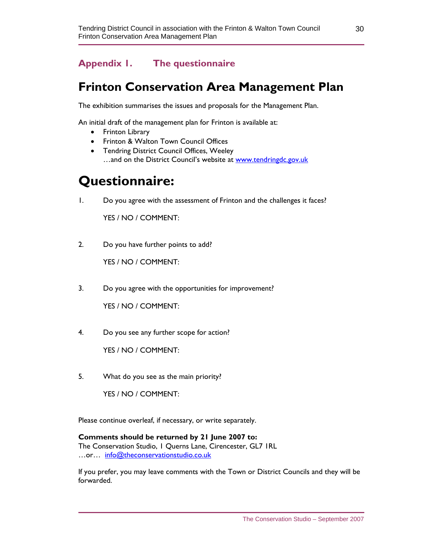## **Appendix 1. The questionnaire**

## **Frinton Conservation Area Management Plan**

The exhibition summarises the issues and proposals for the Management Plan.

An initial draft of the management plan for Frinton is available at:

- Frinton Library
- Frinton & Walton Town Council Offices
- Tendring District Council Offices, Weeley ...and on the District Council's website at www.tendringdc.gov.uk

## **Questionnaire:**

1. Do you agree with the assessment of Frinton and the challenges it faces?

YES / NO / COMMENT:

2. Do you have further points to add?

YES / NO / COMMENT:

3. Do you agree with the opportunities for improvement?

YES / NO / COMMENT:

4. Do you see any further scope for action?

YES / NO / COMMENT:

5. What do you see as the main priority?

YES / NO / COMMENT:

Please continue overleaf, if necessary, or write separately.

**Comments should be returned by 21 June 2007 to:**  The Conservation Studio, 1 Querns Lane, Cirencester, GL7 1RL …or… info@theconservationstudio.co.uk

If you prefer, you may leave comments with the Town or District Councils and they will be forwarded.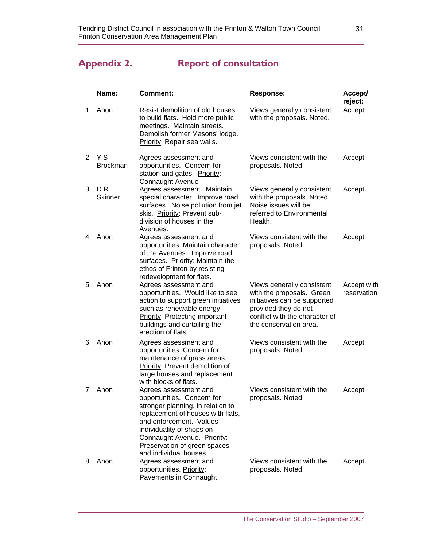## **Appendix 2. Report of consultation**

1 Anon

2 Y S

3 D R

4 Anon

| Name:                  | Comment:                                                                                                                                                                                    | <b>Response:</b>                                                                                                         | Accept/<br>reject: |
|------------------------|---------------------------------------------------------------------------------------------------------------------------------------------------------------------------------------------|--------------------------------------------------------------------------------------------------------------------------|--------------------|
| Anon                   | Resist demolition of old houses<br>to build flats. Hold more public<br>meetings. Maintain streets.<br>Demolish former Masons' lodge.<br>Priority: Repair sea walls.                         | Views generally consistent<br>with the proposals. Noted.                                                                 | Accept             |
| Y S<br><b>Brockman</b> | Agrees assessment and<br>opportunities. Concern for<br>station and gates. Priority:<br>Connaught Avenue                                                                                     | Views consistent with the<br>proposals. Noted.                                                                           | Accept             |
| D R<br><b>Skinner</b>  | Agrees assessment. Maintain<br>special character. Improve road<br>surfaces. Noise pollution from jet<br>skis. Priority: Prevent sub-<br>division of houses in the<br>Avenues.               | Views generally consistent<br>with the proposals. Noted.<br>Noise issues will be<br>referred to Environmental<br>Health. | Accept             |
| Anon                   | Agrees assessment and<br>opportunities. Maintain character<br>of the Avenues. Improve road<br>surfaces. Priority: Maintain the<br>ethos of Frinton by resisting<br>redevelopment for flats. | Views consistent with the<br>proposals. Noted.                                                                           | Accept             |

| 5 | Anon | Agrees assessment and<br>opportunities. Would like to see<br>action to support green initiatives<br>such as renewable energy.<br>Priority: Protecting important<br>buildings and curtailing the<br>erection of flats. | Views generally consistent<br>with the proposals. Green<br>initiatives can be supported<br>provided they do not<br>conflict with the character of<br>the conservation area. | Accept with<br>reservation |
|---|------|-----------------------------------------------------------------------------------------------------------------------------------------------------------------------------------------------------------------------|-----------------------------------------------------------------------------------------------------------------------------------------------------------------------------|----------------------------|
| 6 | Anon | Agrees assessment and<br>opportunities. Concern for<br>maintenance of grass areas.<br>Priority: Prevent demolition of<br>large houses and replacement<br>with blocks of flats.                                        | Views consistent with the<br>proposals. Noted.                                                                                                                              | Accept                     |
| 7 | Anon | Agrees assessment and<br>opportunities. Concern for<br>stronger planning, in relation to<br>replacement of houses with flats,<br>and enforcement. Values<br>individuality of shops on                                 | Views consistent with the<br>proposals. Noted.                                                                                                                              | Accept                     |

Connaught Avenue. Priority: Preservation of green spaces and individual houses. 8 Anon Agrees assessment and opportunities. Priority: Pavements in Connaught Views consistent with the proposals. Noted. Accept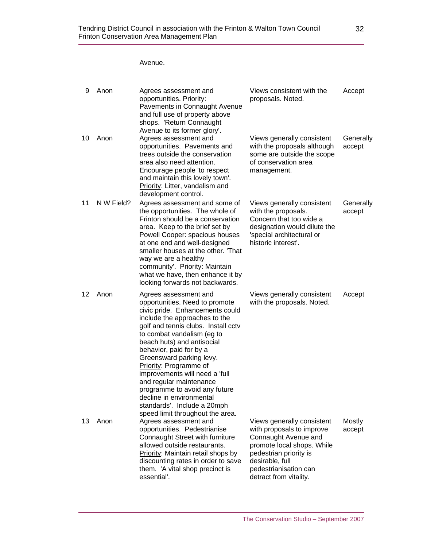Avenue.

| 9  | Anon       | Agrees assessment and<br>opportunities. Priority:<br>Pavements in Connaught Avenue<br>and full use of property above<br>shops. 'Return Connaught<br>Avenue to its former glory'.                                                                                                                                                                                                                                                                                                                             | Views consistent with the<br>proposals. Noted.                                                                                                                                                                | Accept              |
|----|------------|--------------------------------------------------------------------------------------------------------------------------------------------------------------------------------------------------------------------------------------------------------------------------------------------------------------------------------------------------------------------------------------------------------------------------------------------------------------------------------------------------------------|---------------------------------------------------------------------------------------------------------------------------------------------------------------------------------------------------------------|---------------------|
| 10 | Anon       | Agrees assessment and<br>opportunities. Pavements and<br>trees outside the conservation<br>area also need attention.<br>Encourage people 'to respect<br>and maintain this lovely town'.<br>Priority: Litter, vandalism and<br>development control.                                                                                                                                                                                                                                                           | Views generally consistent<br>with the proposals although<br>some are outside the scope<br>of conservation area<br>management.                                                                                | Generally<br>accept |
| 11 | N W Field? | Agrees assessment and some of<br>the opportunities. The whole of<br>Frinton should be a conservation<br>area. Keep to the brief set by<br>Powell Cooper: spacious houses<br>at one end and well-designed<br>smaller houses at the other. 'That<br>way we are a healthy<br>community'. Priority: Maintain<br>what we have, then enhance it by<br>looking forwards not backwards.                                                                                                                              | Views generally consistent<br>with the proposals.<br>Concern that too wide a<br>designation would dilute the<br>'special architectural or<br>historic interest'.                                              | Generally<br>accept |
| 12 | Anon       | Agrees assessment and<br>opportunities. Need to promote<br>civic pride. Enhancements could<br>include the approaches to the<br>golf and tennis clubs. Install cctv<br>to combat vandalism (eg to<br>beach huts) and antisocial<br>behavior, paid for by a<br>Greensward parking levy.<br>Priority: Programme of<br>improvements will need a 'full<br>and regular maintenance<br>programme to avoid any future<br>decline in environmental<br>standards'. Include a 20mph<br>speed limit throughout the area. | Views generally consistent<br>with the proposals. Noted.                                                                                                                                                      | Accept              |
| 13 | Anon       | Agrees assessment and<br>opportunities. Pedestrianise<br>Connaught Street with furniture<br>allowed outside restaurants.<br>Priority: Maintain retail shops by<br>discounting rates in order to save<br>them. 'A vital shop precinct is<br>essential'.                                                                                                                                                                                                                                                       | Views generally consistent<br>with proposals to improve<br>Connaught Avenue and<br>promote local shops. While<br>pedestrian priority is<br>desirable, full<br>pedestrianisation can<br>detract from vitality. | Mostly<br>accept    |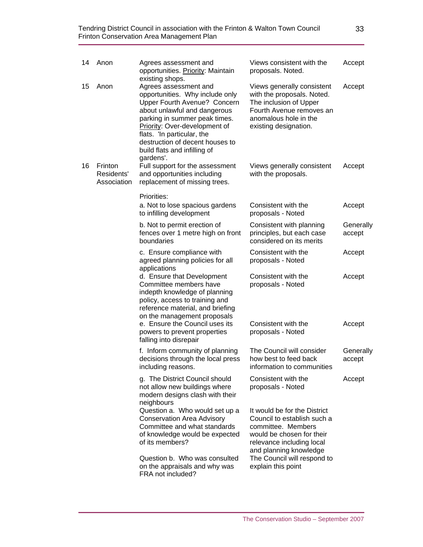| 14 | Anon                                 | Agrees assessment and<br>opportunities. Priority: Maintain<br>existing shops.                                                                                                                                                                                                                            | Views consistent with the<br>proposals. Noted.                                                                                                                        | Accept              |
|----|--------------------------------------|----------------------------------------------------------------------------------------------------------------------------------------------------------------------------------------------------------------------------------------------------------------------------------------------------------|-----------------------------------------------------------------------------------------------------------------------------------------------------------------------|---------------------|
| 15 | Anon                                 | Agrees assessment and<br>opportunities. Why include only<br>Upper Fourth Avenue? Concern<br>about unlawful and dangerous<br>parking in summer peak times.<br>Priority: Over-development of<br>flats. 'In particular, the<br>destruction of decent houses to<br>build flats and infilling of<br>gardens'. | Views generally consistent<br>with the proposals. Noted.<br>The inclusion of Upper<br>Fourth Avenue removes an<br>anomalous hole in the<br>existing designation.      | Accept              |
| 16 | Frinton<br>Residents'<br>Association | Full support for the assessment<br>and opportunities including<br>replacement of missing trees.                                                                                                                                                                                                          | Views generally consistent<br>with the proposals.                                                                                                                     | Accept              |
|    |                                      | Priorities:<br>a. Not to lose spacious gardens<br>to infilling development                                                                                                                                                                                                                               | Consistent with the<br>proposals - Noted                                                                                                                              | Accept              |
|    |                                      | b. Not to permit erection of<br>fences over 1 metre high on front<br>boundaries                                                                                                                                                                                                                          | Consistent with planning<br>principles, but each case<br>considered on its merits                                                                                     | Generally<br>accept |
|    |                                      | c. Ensure compliance with<br>agreed planning policies for all<br>applications                                                                                                                                                                                                                            | Consistent with the<br>proposals - Noted                                                                                                                              | Accept              |
|    |                                      | d. Ensure that Development<br>Committee members have<br>indepth knowledge of planning<br>policy, access to training and<br>reference material, and briefing<br>on the management proposals                                                                                                               | Consistent with the<br>proposals - Noted                                                                                                                              | Accept              |
|    |                                      | e. Ensure the Council uses its<br>powers to prevent properties<br>falling into disrepair                                                                                                                                                                                                                 | Consistent with the<br>proposals - Noted                                                                                                                              | Accept              |
|    |                                      | f. Inform community of planning<br>decisions through the local press<br>including reasons.                                                                                                                                                                                                               | The Council will consider<br>how best to feed back<br>information to communities                                                                                      | Generally<br>accept |
|    |                                      | g. The District Council should<br>not allow new buildings where<br>modern designs clash with their<br>neighbours                                                                                                                                                                                         | Consistent with the<br>proposals - Noted                                                                                                                              | Accept              |
|    |                                      | Question a. Who would set up a<br><b>Conservation Area Advisory</b><br>Committee and what standards<br>of knowledge would be expected<br>of its members?                                                                                                                                                 | It would be for the District<br>Council to establish such a<br>committee. Members<br>would be chosen for their<br>relevance including local<br>and planning knowledge |                     |
|    |                                      | Question b. Who was consulted<br>on the appraisals and why was<br>FRA not included?                                                                                                                                                                                                                      | The Council will respond to<br>explain this point                                                                                                                     |                     |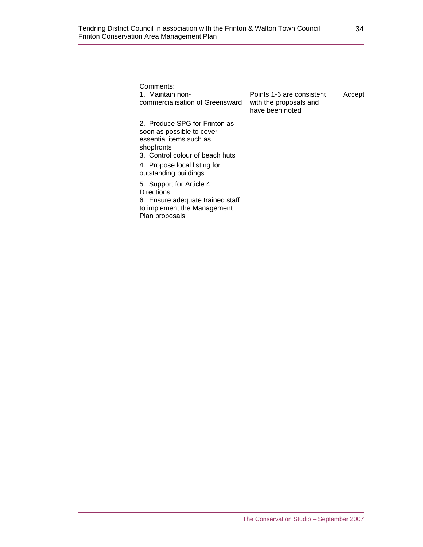| Comments:<br>1. Maintain non-<br>commercialisation of Greensward                                                                                                                                | Points 1-6 are consistent<br>with the proposals and<br>have been noted | Accept |
|-------------------------------------------------------------------------------------------------------------------------------------------------------------------------------------------------|------------------------------------------------------------------------|--------|
| 2. Produce SPG for Frinton as<br>soon as possible to cover<br>essential items such as<br>shopfronts<br>3. Control colour of beach huts<br>4. Propose local listing for<br>outstanding buildings |                                                                        |        |
| 5. Support for Article 4<br><b>Directions</b><br>6. Ensure adequate trained staff<br>to implement the Management<br>Plan proposals                                                              |                                                                        |        |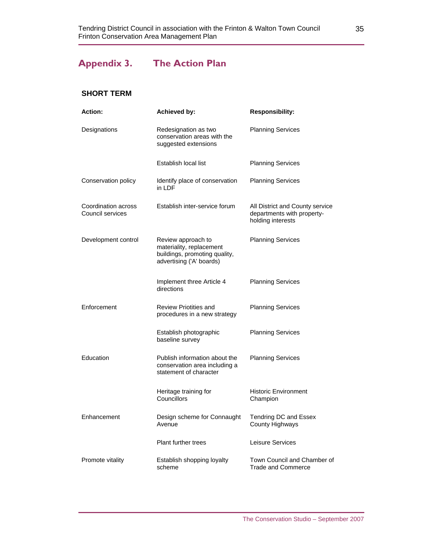## **Appendix 3. The Action Plan**

#### **SHORT TERM**

| <b>Action:</b>                          | <b>Achieved by:</b>                                                                                         | <b>Responsibility:</b>                                                             |
|-----------------------------------------|-------------------------------------------------------------------------------------------------------------|------------------------------------------------------------------------------------|
| Designations                            | Redesignation as two<br>conservation areas with the<br>suggested extensions                                 | <b>Planning Services</b>                                                           |
|                                         | Establish local list                                                                                        | <b>Planning Services</b>                                                           |
| Conservation policy                     | Identify place of conservation<br>in LDF                                                                    | <b>Planning Services</b>                                                           |
| Coordination across<br>Council services | Establish inter-service forum                                                                               | All District and County service<br>departments with property-<br>holding interests |
| Development control                     | Review approach to<br>materiality, replacement<br>buildings, promoting quality,<br>advertising ('A' boards) | <b>Planning Services</b>                                                           |
|                                         | Implement three Article 4<br>directions                                                                     | <b>Planning Services</b>                                                           |
| Enforcement                             | Review Priotities and<br>procedures in a new strategy                                                       | <b>Planning Services</b>                                                           |
|                                         | Establish photographic<br>baseline survey                                                                   | <b>Planning Services</b>                                                           |
| Education                               | Publish information about the<br>conservation area including a<br>statement of character                    | <b>Planning Services</b>                                                           |
|                                         | Heritage training for<br>Councillors                                                                        | <b>Historic Environment</b><br>Champion                                            |
| Enhancement                             | Design scheme for Connaught<br>Avenue                                                                       | Tendring DC and Essex<br><b>County Highways</b>                                    |
|                                         | <b>Plant further trees</b>                                                                                  | Leisure Services                                                                   |
| Promote vitality                        | Establish shopping loyalty<br>scheme                                                                        | Town Council and Chamber of<br><b>Trade and Commerce</b>                           |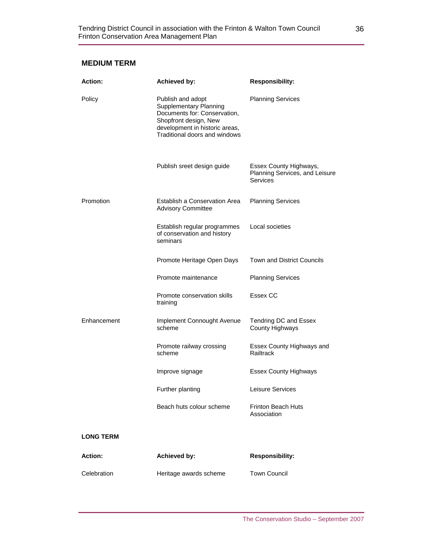#### **MEDIUM TERM**

| <b>Action:</b>   | <b>Achieved by:</b>                                                                                                                                                            | <b>Responsibility:</b>                                               |
|------------------|--------------------------------------------------------------------------------------------------------------------------------------------------------------------------------|----------------------------------------------------------------------|
| Policy           | Publish and adopt<br><b>Supplementary Planning</b><br>Documents for: Conservation,<br>Shopfront design, New<br>development in historic areas,<br>Traditional doors and windows | <b>Planning Services</b>                                             |
|                  | Publish sreet design guide                                                                                                                                                     | Essex County Highways,<br>Planning Services, and Leisure<br>Services |
| Promotion        | Establish a Conservation Area<br><b>Advisory Committee</b>                                                                                                                     | <b>Planning Services</b>                                             |
|                  | Establish regular programmes<br>of conservation and history<br>seminars                                                                                                        | Local societies                                                      |
|                  | Promote Heritage Open Days                                                                                                                                                     | <b>Town and District Councils</b>                                    |
|                  | Promote maintenance                                                                                                                                                            | <b>Planning Services</b>                                             |
|                  | Promote conservation skills<br>training                                                                                                                                        | Essex CC                                                             |
| Enhancement      | Implement Connought Avenue<br>scheme                                                                                                                                           | Tendring DC and Essex<br>County Highways                             |
|                  | Promote railway crossing<br>scheme                                                                                                                                             | Essex County Highways and<br>Railtrack                               |
|                  | Improve signage                                                                                                                                                                | <b>Essex County Highways</b>                                         |
|                  | Further planting                                                                                                                                                               | Leisure Services                                                     |
|                  | Beach huts colour scheme                                                                                                                                                       | Frinton Beach Huts<br>Association                                    |
| <b>LONG TERM</b> |                                                                                                                                                                                |                                                                      |
| <b>Action:</b>   | Achieved by:                                                                                                                                                                   | <b>Responsibility:</b>                                               |
| Celebration      | Heritage awards scheme                                                                                                                                                         | <b>Town Council</b>                                                  |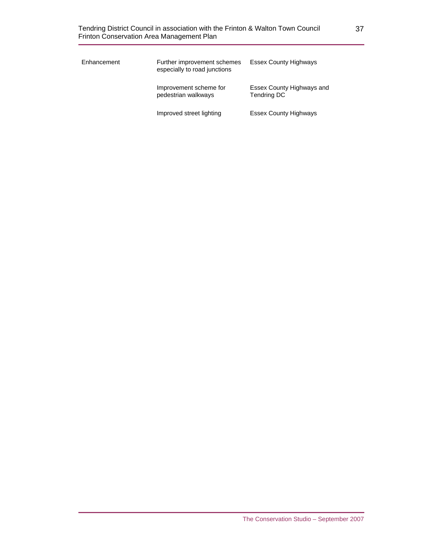| Enhancement | Further improvement schemes<br>especially to road junctions | <b>Essex County Highways</b>                    |
|-------------|-------------------------------------------------------------|-------------------------------------------------|
|             | Improvement scheme for<br>pedestrian walkways               | Essex County Highways and<br><b>Tendring DC</b> |
|             | Improved street lighting                                    | <b>Essex County Highways</b>                    |